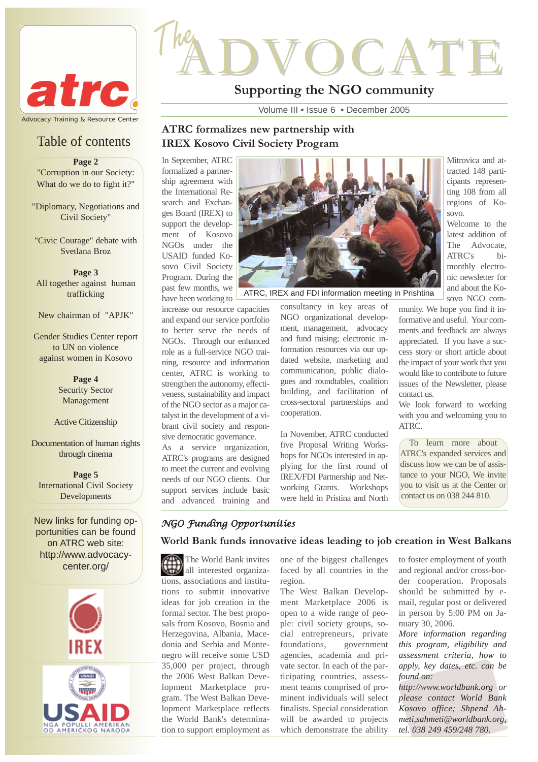

## Table of contents

**Page 2**

"Corruption in our Society: What do we do to fight it?"

"Diplomacy, Negotiations and Civil Society"

"Civic Courage" debate with Svetlana Broz

**Page 3** All together against human trafficking

New chairman of "APJK"

Gender Studies Center report to UN on violence against women in Kosovo

> **Page 4** Security Sector Management

#### Active Citizenship

Documentation of human rights through cinema

**Page 5** International Civil Society Developments

New links for funding opportunities can be found on ATRC web site: http://www.advocacycenter.org/





# ADVOCATE The

## **Supporting the NGO community**

Volume III • Issue 6 • December 2005

## **ATRC formalizes new partnership with IREX Kosovo Civil Society Program**

In September, ATRC formalized a partnership agreement with the International Research and Exchanges Board (IREX) to support the development of Kosovo NGOs under the USAID funded Kosovo Civil Society Program. During the past few months, we have been working to

increase our resource capacities and expand our service portfolio to better serve the needs of NGOs. Through our enhanced role as a full-service NGO training, resource and information center, ATRC is working to strengthen the autonomy, effectiveness, sustainability and impact of the NGO sector as a major catalyst in the development of a vibrant civil society and responsive democratic governance.

As a service organization, ATRC's programs are designed to meet the current and evolving needs of our NGO clients. Our support services include basic and advanced training and



ATRC, IREX and FDI information meeting in Prishtina

consultancy in key areas of NGO organizational development, management, advocacy and fund raising; electronic information resources via our updated website, marketing and communication, public dialogues and roundtables, coalition building, and facilitation of cross-sectoral partnerships and cooperation.

In November, ATRC conducted five Proposal Writing Workshops for NGOs interested in applying for the first round of IREX/FDI Partnership and Networking Grants. Workshops were held in Pristina and North Mitrovica and attracted 148 participants representing 108 from all regions of Kosovo.

Welcome to the latest addition of The Advocate, ATRC's bimonthly electronic newsletter for and about the Kosovo NGO com-

munity. We hope you find it informative and useful. Your comments and feedback are always appreciated. If you have a success story or short article about the impact of your work that you would like to contribute to future issues of the Newsletter, please contact us.

We look forward to working with you and welcoming you to ATRC.

To learn more about ATRC's expanded services and discuss how we can be of assistance to your NGO, We invite you to visit us at the Center or contact us on 038 244 810.

## *NGO Funding Opportunities*

**World Bank funds innovative ideas leading to job creation in West Balkans**

The World Bank invites all interested organizations, associations and institutions to submit innovative ideas for job creation in the formal sector. The best proposals from Kosovo, Bosnia and Herzegovina, Albania, Macedonia and Serbia and Montenegro will receive some USD 35,000 per project, through the 2006 West Balkan Development Marketplace program. The West Balkan Development Marketplace reflects the World Bank's determination to support employment as

one of the biggest challenges faced by all countries in the region.

The West Balkan Development Marketplace 2006 is open to a wide range of people: civil society groups, social entrepreneurs, private foundations, government agencies, academia and private sector. In each of the participating countries, assessment teams comprised of prominent individuals will select finalists. Special consideration will be awarded to projects which demonstrate the ability to foster employment of youth and regional and/or cross-border cooperation. Proposals should be submitted by email, regular post or delivered in person by 5:00 PM on January 30, 2006.

*More information regarding this program, eligibility and assessment criteria, how to apply, key dates, etc. can be found on:*

*http://www.worldbank.org or please contact World Bank Kosovo office; Shpend Ahmeti,sahmeti@worldbank.org, tel. 038 249 459/248 780.*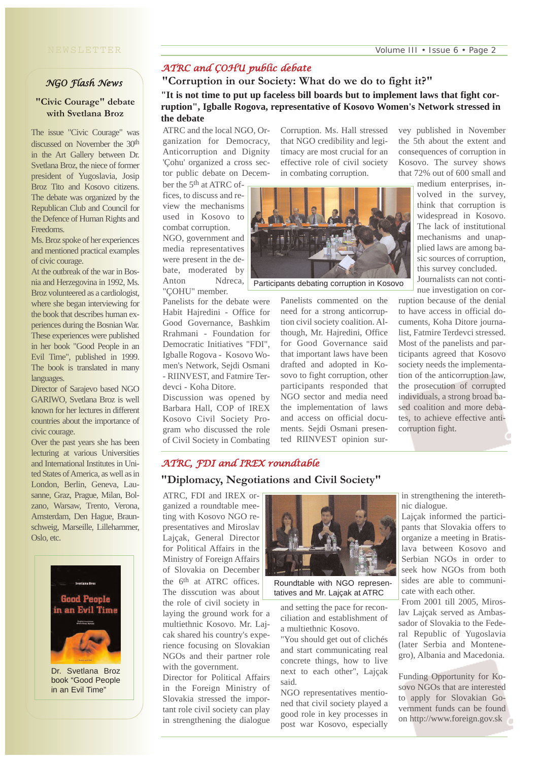### *NGO Flash News*

#### **"Civic Courage" debate with Svetlana Broz**

The issue "Civic Courage" was discussed on November the 30th in the Art Gallery between Dr. Svetlana Broz, the niece of former president of Yugoslavia, Josip Broz Tito and Kosovo citizens. The debate was organized by the Republican Club and Council for the Defence of Human Rights and Freedoms.

Ms. Broz spoke of her experiences and mentioned practical examples of civic courage.

At the outbreak of the war in Bosnia and Herzegovina in 1992, Ms. Broz volunteered as a cardiologist, where she began interviewing for the book that describes human experiences during the Bosnian War. These experiences were published in her book "Good People in an Evil Time", published in 1999. The book is translated in many languages.

Director of Sarajevo based NGO GARIWO, Svetlana Broz is well known for her lectures in different countries about the importance of civic courage.

Over the past years she has been lecturing at various Universities and International Institutes in United States of America, as well as in London, Berlin, Geneva, Lausanne, Graz, Prague, Milan, Bolzano, Warsaw, Trento, Verona, Amsterdam, Den Hague, Braunschweig, Marseille, Lillehammer, Oslo, etc.



Dr. Svetlana Broz book "Good People in an Evil Time"

## *ATRC and ÇOHU public debate*

**"Corruption in our Society: What do we do to fight it?" "It is not time to put up faceless bill boards but to implement laws that fight corruption", Igballe Rogova, representative of Kosovo Women's Network stressed in the debate**

ATRC and the local NGO, Organization for Democracy, Anticorruption and Dignity 'Çohu' organized a cross sector public debate on December the 5th at ATRC of-

combat corruption.

"ÇOHU" member.

devci - Koha Ditore.

Discussion was opened by Barbara Hall, COP of IREX Kosovo Civil Society Program who discussed the role of Civil Society in Combating

Panelists for the debate were Habit Hajredini - Office for Good Governance, Bashkim Rrahmani - Foundation for Democratic Initiatives "FDI", Igballe Rogova - Kosovo Women's Network, Sejdi Osmani - RIINVEST, and Fatmire TerCorruption. Ms. Hall stressed that NGO credibility and legitimacy are most crucial for an effective role of civil society in combating corruption.



Participants debating corruption in Kosovo

Panelists commented on the need for a strong anticorruption civil society coalition. Although, Mr. Hajredini, Office for Good Governance said that important laws have been drafted and adopted in Kosovo to fight corruption, other participants responded that NGO sector and media need the implementation of laws and access on official documents. Sejdi Osmani presented RIINVEST opinion survey published in November the 5th about the extent and consequences of corruption in Kosovo. The survey shows that 72% out of 600 small and

> medium enterprises, involved in the survey, think that corruption is widespread in Kosovo. The lack of institutional mechanisms and unapplied laws are among basic sources of corruption, this survey concluded. Journalists can not conti-

nue investigation on corruption because of the denial to have access in official documents, Koha Ditore journalist, Fatmire Terdevci stressed. Most of the panelists and participants agreed that Kosovo society needs the implementation of the anticorruption law, the prosecution of corrupted individuals, a strong broad based coalition and more debates, to achieve effective anticorruption fight.

## *ATRC, FDI and IREX roundtable*

#### **"Diplomacy, Negotiations and Civil Society"**

ATRC, FDI and IREX organized a roundtable meeting with Kosovo NGO representatives and Miroslav Lajçak, General Director for Political Affairs in the Ministry of Foreign Affairs of Slovakia on December the 6<sup>th</sup> at ATRC offices. The disscution was about the role of civil society in laying the ground work for a multiethnic Kosovo. Mr. Lajcak shared his country's experience focusing on Slovakian NGOs and their partner role with the government.

Director for Political Affairs in the Foreign Ministry of Slovakia stressed the important role civil society can play in strengthening the dialogue



Roundtable with NGO representatives and Mr. Lajçak at ATRC

and setting the pace for reconciliation and establishment of a multiethnic Kosovo.

"You should get out of clichés and start communicating real concrete things, how to live next to each other", Lajçak said.

NGO representatives mentioned that civil society played a good role in key processes in post war Kosovo, especially

in strengthening the interethnic dialogue.

Lajçak informed the participants that Slovakia offers to organize a meeting in Bratislava between Kosovo and Serbian NGOs in order to seek how NGOs from both sides are able to communicate with each other.

From 2001 till 2005, Miroslav Lajçak served as Ambassador of Slovakia to the Federal Republic of Yugoslavia (later Serbia and Montenegro), Albania and Macedonia.

Funding Opportunity for Kosovo NGOs that are interested to apply for Slovakian Government funds can be found on http://www.foreign.gov.sk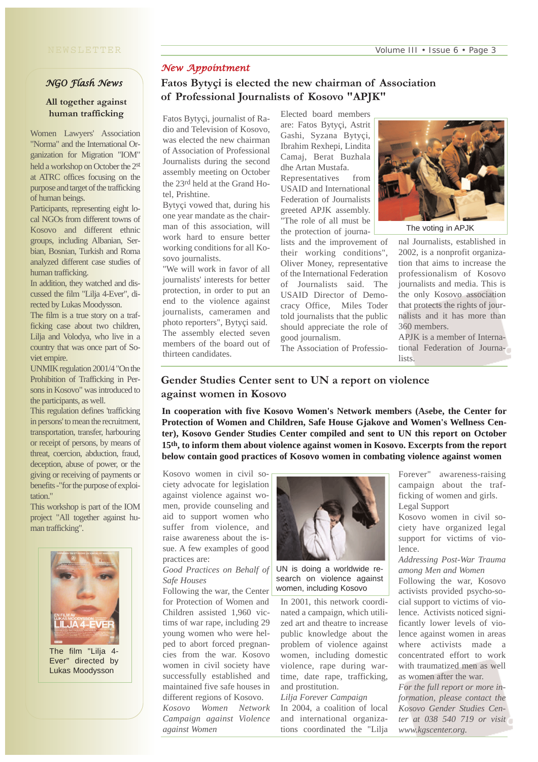#### NEWSLETTER

#### *NGO Flash News*

#### **All together against human trafficking**

Women Lawyers' Association "Norma" and the International Organization for Migration "IOM" held a workshop on October the 2st at ATRC offices focusing on the purpose and target of the trafficking of human beings.

Participants, representing eight local NGOs from different towns of Kosovo and different ethnic groups, including Albanian, Serbian, Bosnian, Turkish and Roma analyzed different case studies of human trafficking.

In addition, they watched and discussed the film "Lilja 4-Ever", directed by Lukas Moodysson.

The film is a true story on a trafficking case about two children, Lilja and Volodya, who live in a country that was once part of Soviet empire.

UNMIK regulation 2001/4 "On the Prohibition of Trafficking in Persons in Kosovo" was introduced to the participants, as well.

This regulation defines 'trafficking in persons' to mean the recruitment, transportation, transfer, harbouring or receipt of persons, by means of threat, coercion, abduction, fraud, deception, abuse of power, or the giving or receiving of payments or benefits -"for the purpose of exploitation."

This workshop is part of the IOM project "All together against human trafficking".



Ever" directed by Lukas Moodysson

#### *New Appointment*

## **Fatos Bytyçi is elected the new chairman of Association of Professional Journalists of Kosovo "APJK"**

Fatos Bytyçi, journalist of Radio and Television of Kosovo, was elected the new chairman of Association of Professional Journalists during the second assembly meeting on October the 23rd held at the Grand Hotel, Prishtine.

Bytyçi vowed that, during his one year mandate as the chairman of this association, will work hard to ensure better working conditions for all Kosovo journalists.

"We will work in favor of all journalists' interests for better protection, in order to put an end to the violence against journalists, cameramen and photo reporters", Bytyçi said. The assembly elected seven members of the board out of thirteen candidates.

Elected board members are: Fatos Bytyçi, Astrit Gashi, Syzana Bytyçi, Ibrahim Rexhepi, Lindita Camaj, Berat Buzhala dhe Artan Mustafa.

Representatives from USAID and International Federation of Journalists greeted APJK assembly. "The role of all must be the protection of journa-

lists and the improvement of their working conditions", Oliver Money, representative of the International Federation of Journalists said. The USAID Director of Democracy Office, Miles Toder told journalists that the public should appreciate the role of good journalism.

The Association of Professio-



The voting in APJK

nal Journalists, established in 2002, is a nonprofit organization that aims to increase the professionalism of Kosovo journalists and media. This is the only Kosovo association that protects the rights of journalists and it has more than 360 members.

APJK is a member of International Federation of Journalists.

## **Gender Studies Center sent to UN a report on violence against women in Kosovo**

**In cooperation with five Kosovo Women's Network members (Asebe, the Center for Protection of Women and Children, Safe House Gjakove and Women's Wellness Center), Kosovo Gender Studies Center compiled and sent to UN this report on October 15th, to inform them about violence against women in Kosovo. Excerpts from the report below contain good practices of Kosovo women in combating violence against women**

Kosovo women in civil society advocate for legislation against violence against women, provide counseling and aid to support women who suffer from violence, and raise awareness about the issue. A few examples of good practices are:

#### *Good Practices on Behalf of Safe Houses*

Following the war, the Center for Protection of Women and Children assisted 1,960 victims of war rape, including 29 young women who were helped to abort forced pregnancies from the war. Kosovo women in civil society have successfully established and maintained five safe houses in different regions of Kosovo. *Kosovo Women Network Campaign against Violence against Women*



UN is doing a worldwide research on violence against women, including Kosovo

In 2001, this network coordinated a campaign, which utilized art and theatre to increase public knowledge about the problem of violence against women, including domestic violence, rape during wartime, date rape, trafficking, and prostitution.

#### *Lilja Forever Campaign*

In 2004, a coalition of local and international organizations coordinated the "Lilja Forever" awareness-raising campaign about the trafficking of women and girls. Legal Support

Kosovo women in civil society have organized legal support for victims of violence.

*Addressing Post-War Trauma among Men and Women* 

Following the war, Kosovo activists provided psycho-social support to victims of violence. Activists noticed significantly lower levels of violence against women in areas where activists made a concentrated effort to work with traumatized men as well as women after the war. *For the full report or more information, please contact the*

*Kosovo Gender Studies Center at 038 540 719 or visit www.kgscenter.org.*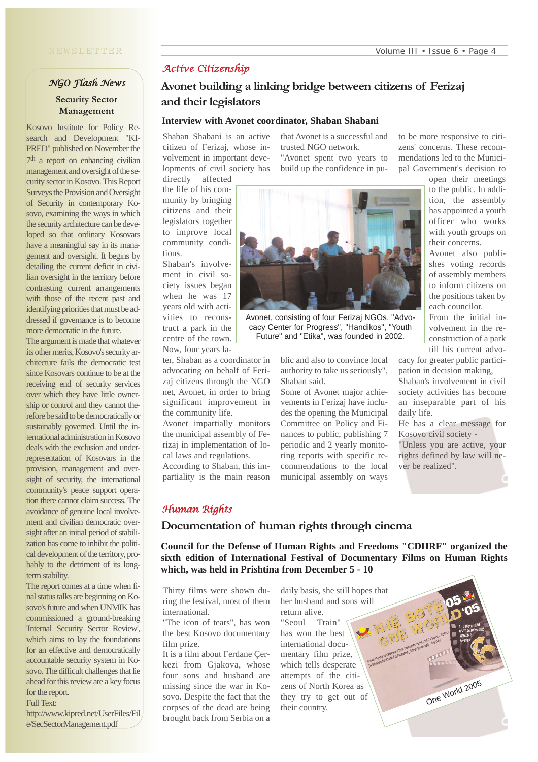## *NGO Flash News* **Security Sector Management**

Kosovo Institute for Policy Research and Development "KI-PRED" published on November the 7<sup>th</sup> a report on enhancing civilian management and oversight of the security sector in Kosovo. This Report Surveys the Provision and Oversight of Security in contemporary Kosovo, examining the ways in which the security architecture can be developed so that ordinary Kosovars have a meaningful say in its management and oversight. It begins by detailing the current deficit in civilian oversight in the territory before contrasting current arrangements with those of the recent past and identifying priorities that must be addressed if governance is to become more democratic in the future.

The argument is made that whatever its other merits, Kosovo's security architecture fails the democratic test since Kosovars continue to be at the receiving end of security services over which they have little ownership or control and they cannot therefore be said to be democratically or sustainably governed. Until the international administration in Kosovo deals with the exclusion and underrepresentation of Kosovars in the provision, management and oversight of security, the international community's peace support operation there cannot claim success. The avoidance of genuine local involvement and civilian democratic oversight after an initial period of stabilization has come to inhibit the political development of the territory, probably to the detriment of its longterm stability.

The report comes at a time when final status talks are beginning on Kosovo's future and when UNMIK has commissioned a ground-breaking 'Internal Security Sector Review', which aims to lay the foundations for an effective and democratically accountable security system in Kosovo. The difficult challenges that lie ahead for this review are a key focus for the report.

Full Text:

http://www.kipred.net/UserFiles/Fil e/SecSectorManagement.pdf

## *Active Citizenship*

## **Avonet building a linking bridge between citizens of Ferizaj and their legislators**

#### **Interview with Avonet coordinator, Shaban Shabani**

Shaban Shabani is an active citizen of Ferizaj, whose involvement in important developments of civil society has directly affected

that Avonet is a successful and trusted NGO network. "Avonet spent two years to build up the confidence in pu-

the life of his community by bringing citizens and their legislators together to improve local community conditions. Shaban's involve-

ment in civil society issues began when he was 17 years old with activities to reconstruct a park in the centre of the town.

Now, four years la-

ter, Shaban as a coordinator in advocating on behalf of Ferizaj citizens through the NGO net, Avonet, in order to bring significant improvement in the community life.

Avonet impartially monitors the municipal assembly of Ferizaj in implementation of local laws and regulations. According to Shaban, this im-

partiality is the main reason



Avonet, consisting of four Ferizaj NGOs, "Advocacy Center for Progress", "Handikos", "Youth Future" and "Etika", was founded in 2002.

blic and also to convince local authority to take us seriously", Shaban said.

Some of Avonet major achievements in Ferizaj have includes the opening the Municipal Committee on Policy and Finances to public, publishing 7 periodic and 2 yearly monitoring reports with specific recommendations to the local municipal assembly on ways to be more responsive to citizens' concerns. These recommendations led to the Municipal Government's decision to

> open their meetings to the public. In addition, the assembly has appointed a youth officer who works with youth groups on their concerns.

> Avonet also publishes voting records of assembly members to inform citizens on the positions taken by each councilor.

> From the initial involvement in the reconstruction of a park till his current advo-

cacy for greater public participation in decision making,

Shaban's involvement in civil society activities has become an inseparable part of his daily life.

He has a clear message for Kosovo civil society -

"Unless you are active, your rights defined by law will never be realized".

One World 2005

#### *Human Rights*

#### **Documentation of human rights through cinema**

**Council for the Defense of Human Rights and Freedoms "CDHRF" organized the sixth edition of International Festival of Documentary Films on Human Rights which, was held in Prishtina from December 5 - 10** 

Thirty films were shown during the festival, most of them international.

"The icon of tears", has won the best Kosovo documentary film prize.

It is a film about Ferdane Çerkezi from Gjakova, whose four sons and husband are missing since the war in Kosovo. Despite the fact that the corpses of the dead are being brought back from Serbia on a

daily basis, she still hopes that her husband and sons will return alive. "Seoul Train" has won the best international documentary film prize, which tells desperate attempts of the citizens of North Korea as they try to get out of their country.